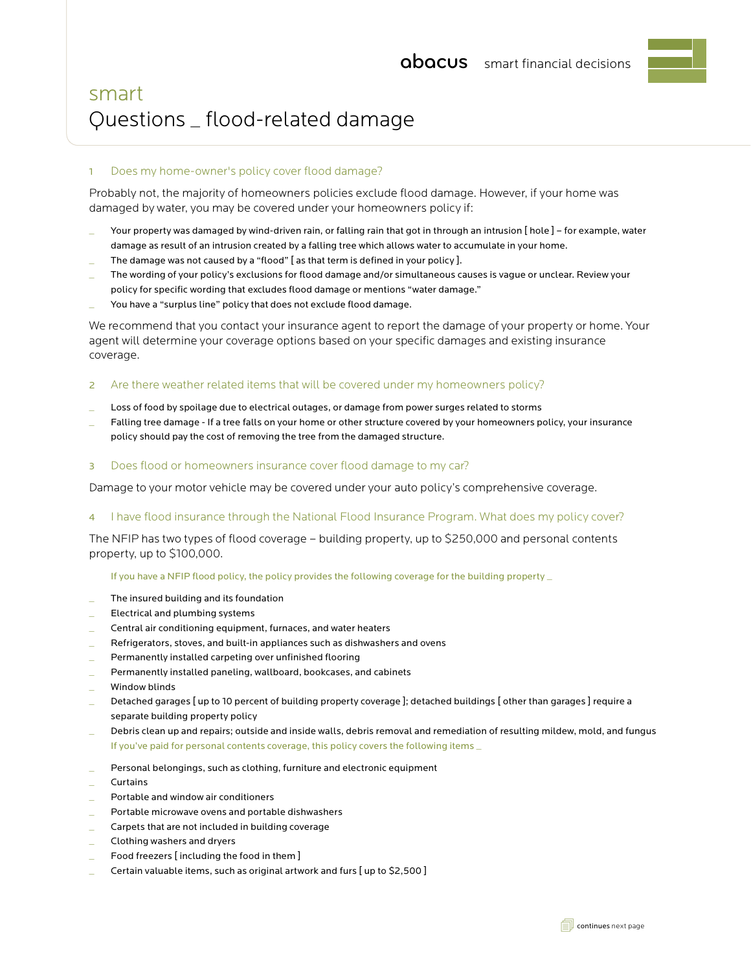# smart Questions \_ flood-related damage

# 1 Does my home-owner's policy cover flood damage?

Probably not, the majority of homeowners policies exclude flood damage. However, if your home was damaged by water, you may be covered under your homeowners policy if:

- Your property was damaged by wind-driven rain, or falling rain that got in through an intrusion [ hole ] for example, water damage as result of an intrusion created by a falling tree which allows water to accumulate in your home.
- The damage was not caused by a "flood" [as that term is defined in your policy ].
- The wording of your policy's exclusions for flood damage and/or simultaneous causes is vague or unclear. Review your policy for specific wording that excludes flood damage or mentions "water damage."
- You have a "surplus line" policy that does not exclude flood damage.

We recommend that you contact your insurance agent to report the damage of your property or home. Your agent will determine your coverage options based on your specific damages and existing insurance coverage.

# 2 Are there weather related items that will be covered under my homeowners policy?

- Loss of food by spoilage due to electrical outages, or damage from power surges related to storms
- Falling tree damage If a tree falls on your home or other structure covered by your homeowners policy, your insurance policy should pay the cost of removing the tree from the damaged structure.
- 3 Does flood or homeowners insurance cover flood damage to my car?

Damage to your motor vehicle may be covered under your auto policy's comprehensive coverage.

### 4 I have flood insurance through the National Flood Insurance Program. What does my policy cover?

The NFIP has two types of flood coverage – building property, up to \$250,000 and personal contents property, up to \$100,000.

If you have a NFIP flood policy, the policy provides the following coverage for the building property \_

- The insured building and its foundation
- Electrical and plumbing systems
- \_ Central air conditioning equipment, furnaces, and water heaters
- \_ Refrigerators, stoves, and built-in appliances such as dishwashers and ovens
- Permanently installed carpeting over unfinished flooring
- Permanently installed paneling, wallboard, bookcases, and cabinets
- Window blinds
- Detached garages [ up to 10 percent of building property coverage ]; detached buildings [ other than garages ] require a separate building property policy
- Debris clean up and repairs; outside and inside walls, debris removal and remediation of resulting mildew, mold, and fungus If you've paid for personal contents coverage, this policy covers the following items \_
- Personal belongings, such as clothing, furniture and electronic equipment
- **Curtains**
- \_ Portable and window air conditioners
- Portable microwave ovens and portable dishwashers
- Carpets that are not included in building coverage
- \_ Clothing washers and dryers
- Food freezers [including the food in them]
- Certain valuable items, such as original artwork and furs [ up to \$2,500 ]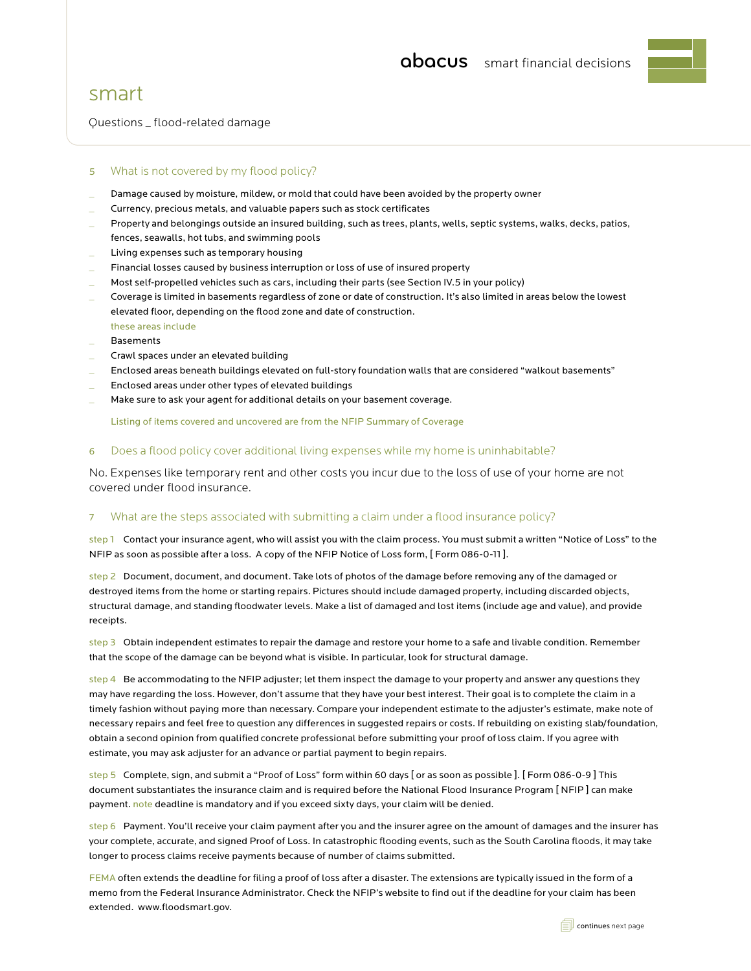

# smart

Questions \_ flood-related damage

# 5 What is not covered by my flood policy?

- Damage caused by moisture, mildew, or mold that could have been avoided by the property owner
- \_ Currency, precious metals, and valuable papers such as stock certificates
- Property and belongings outside an insured building, such as trees, plants, wells, septic systems, walks, decks, patios, fences, seawalls, hot tubs, and swimming pools
- Living expenses such as temporary housing
- Financial losses caused by business interruption or loss of use of insured property
- Most self-propelled vehicles such as cars, including their parts (see Section IV.5 in your policy)
- Coverage is limited in basements regardless of zone or date of construction. It's also limited in areas below the lowest elevated floor, depending on the flood zone and date of construction.
- these areas include
- \_ Basements
- \_ Crawl spaces under an elevated building
- \_ Enclosed areas beneath buildings elevated on full-story foundation walls that are considered "walkout basements"
- Enclosed areas under other types of elevated buildings
- Make sure to ask your agent for additional details on your basement coverage.

Listing of items covered and uncovered are from the NFIP Summary of Coverage

# 6 Does a flood policy cover additional living expenses while my home is uninhabitable?

No. Expenses like temporary rent and other costs you incur due to the loss of use of your home are not covered under flood insurance.

### 7 What are the steps associated with submitting a claim under a flood insurance policy?

step 1 Contact your insurance agent, who will assist you with the claim process. You must submit a written "Notice of Loss" to the NFIP as soon as possible after a loss. A copy of the NFIP Notice of Loss form, [ Form 086-0-11 ].

step 2 Document, document, and document. Take lots of photos of the damage before removing any of the damaged or destroyed items from the home or starting repairs. Pictures should include damaged property, including discarded objects, structural damage, and standing floodwater levels. Make a list of damaged and lost items (include age and value), and provide receipts.

step 3 Obtain independent estimates to repair the damage and restore your home to a safe and livable condition. Remember that the scope of the damage can be beyond what is visible. In particular, look for structural damage.

step 4 Be accommodating to the NFIP adjuster; let them inspect the damage to your property and answer any questions they may have regarding the loss. However, don't assume that they have your best interest. Their goal is to complete the claim in a timely fashion without paying more than necessary. Compare your independent estimate to the adjuster's estimate, make note of necessary repairs and feel free to question any differences in suggested repairs or costs. If rebuilding on existing slab/foundation, obtain a second opinion from qualified concrete professional before submitting your proof of loss claim. If you agree with estimate, you may ask adjuster for an advance or partial payment to begin repairs.

step 5 Complete, sign, and submit a "Proof of Loss" form within 60 days [ or as soon as possible ]. [ Form 086-0-9 ] This document substantiates the insurance claim and is required before the National Flood Insurance Program [ NFIP ] can make payment. note deadline is mandatory and if you exceed sixty days, your claim will be denied.

step 6 Payment. You'll receive your claim payment after you and the insurer agree on the amount of damages and the insurer has your complete, accurate, and signed Proof of Loss. In catastrophic flooding events, such as the South Carolina floods, it may take longer to process claims receive payments because of number of claims submitted.

FEMA often extends the deadline for filing a proof of loss after a disaster. The extensions are typically issued in the form of a memo from the Federal Insurance Administrator. Check the NFIP's website to find out if the deadline for your claim has been extended. www.floodsmart.gov.